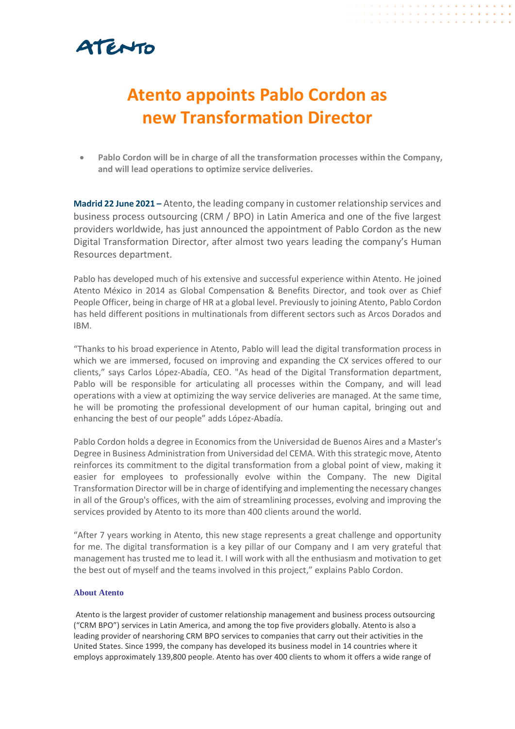## ATENTO

### **Atento appoints Pablo Cordon as new Transformation Director**

• **Pablo Cordon will be in charge of all the transformation processes within the Company, and will lead operations to optimize service deliveries.**

**Madrid 22 June 2021 –** Atento, the leading company in customer relationship services and business process outsourcing (CRM / BPO) in Latin America and one of the five largest providers worldwide, has just announced the appointment of Pablo Cordon as the new Digital Transformation Director, after almost two years leading the company's Human Resources department.

Pablo has developed much of his extensive and successful experience within Atento. He joined Atento México in 2014 as Global Compensation & Benefits Director, and took over as Chief People Officer, being in charge of HR at a global level. Previously to joining Atento, Pablo Cordon has held different positions in multinationals from different sectors such as Arcos Dorados and IBM.

"Thanks to his broad experience in Atento, Pablo will lead the digital transformation process in which we are immersed, focused on improving and expanding the CX services offered to our clients," says Carlos López-Abadía, CEO. "As head of the Digital Transformation department, Pablo will be responsible for articulating all processes within the Company, and will lead operations with a view at optimizing the way service deliveries are managed. At the same time, he will be promoting the professional development of our human capital, bringing out and enhancing the best of our people" adds López-Abadía.

Pablo Cordon holds a degree in Economics from the Universidad de Buenos Aires and a Master's Degree in Business Administration from Universidad del CEMA. With this strategic move, Atento reinforces its commitment to the digital transformation from a global point of view, making it easier for employees to professionally evolve within the Company. The new Digital Transformation Director will be in charge of identifying and implementing the necessary changes in all of the Group's offices, with the aim of streamlining processes, evolving and improving the services provided by Atento to its more than 400 clients around the world.

"After 7 years working in Atento, this new stage represents a great challenge and opportunity for me. The digital transformation is a key pillar of our Company and I am very grateful that management has trusted me to lead it. I will work with all the enthusiasm and motivation to get the best out of myself and the teams involved in this project," explains Pablo Cordon.

#### **About Atento**

Atento is the largest provider of customer relationship management and business process outsourcing ("CRM BPO") services in Latin America, and among the top five providers globally. Atento is also a leading provider of nearshoring CRM BPO services to companies that carry out their activities in the United States. Since 1999, the company has developed its business model in 14 countries where it employs approximately 139,800 people. Atento has over 400 clients to whom it offers a wide range of